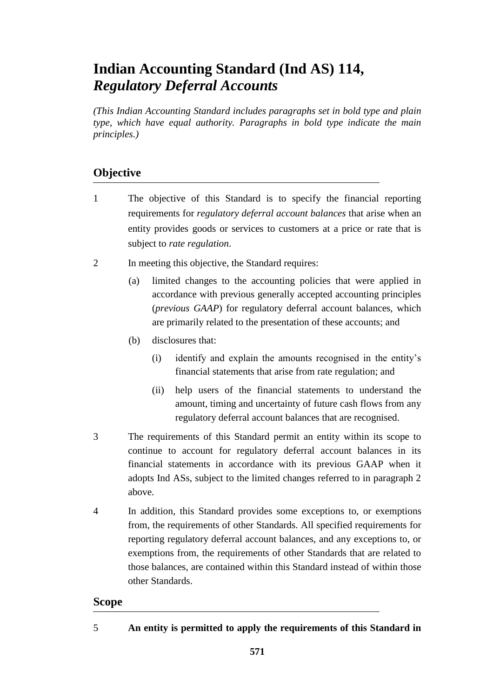# **Indian Accounting Standard (Ind AS) 114,**  *Regulatory Deferral Accounts*

*(This Indian Accounting Standard includes paragraphs set in bold type and plain type, which have equal authority. Paragraphs in bold type indicate the main principles.)*

# **Objective**

- 1 The objective of this Standard is to specify the financial reporting requirements for *regulatory deferral account balances* that arise when an entity provides goods or services to customers at a price or rate that is subject to *rate regulation*.
- 2 In meeting this objective, the Standard requires:
	- (a) limited changes to the accounting policies that were applied in accordance with previous generally accepted accounting principles (*previous GAAP*) for regulatory deferral account balances, which are primarily related to the presentation of these accounts; and
	- (b) disclosures that:
		- (i) identify and explain the amounts recognised in the entity's financial statements that arise from rate regulation; and
		- (ii) help users of the financial statements to understand the amount, timing and uncertainty of future cash flows from any regulatory deferral account balances that are recognised.
- 3 The requirements of this Standard permit an entity within its scope to continue to account for regulatory deferral account balances in its financial statements in accordance with its previous GAAP when it adopts Ind ASs, subject to the limited changes referred to in paragraph 2 above.
- 4 In addition, this Standard provides some exceptions to, or exemptions from, the requirements of other Standards. All specified requirements for reporting regulatory deferral account balances, and any exceptions to, or exemptions from, the requirements of other Standards that are related to those balances, are contained within this Standard instead of within those other Standards.

# **Scope**

5 **An entity is permitted to apply the requirements of this Standard in**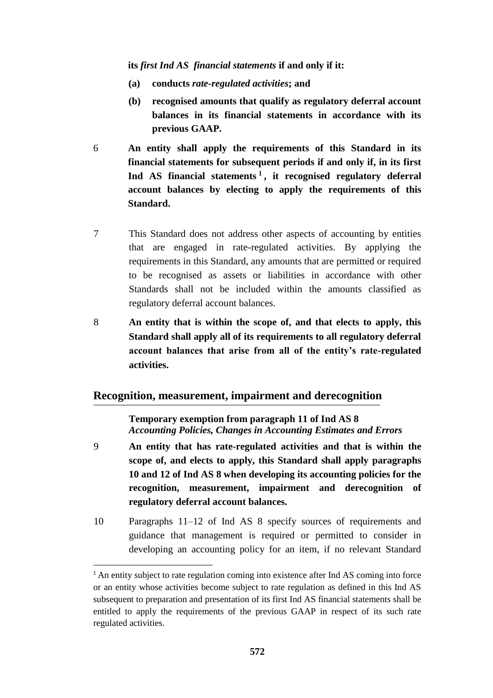**its** *first Ind AS financial statements* **if and only if it:**

- **(a) conducts** *rate-regulated activities***; and**
- **(b) recognised amounts that qualify as regulatory deferral account balances in its financial statements in accordance with its previous GAAP.**
- 6 **An entity shall apply the requirements of this Standard in its financial statements for subsequent periods if and only if, in its first Ind AS financial statements <sup>1</sup> , it recognised regulatory deferral account balances by electing to apply the requirements of this Standard.**
- 7 This Standard does not address other aspects of accounting by entities that are engaged in rate-regulated activities. By applying the requirements in this Standard, any amounts that are permitted or required to be recognised as assets or liabilities in accordance with other Standards shall not be included within the amounts classified as regulatory deferral account balances.
- 8 **An entity that is within the scope of, and that elects to apply, this Standard shall apply all of its requirements to all regulatory deferral account balances that arise from all of the entity's rate-regulated activities.**

### **Recognition, measurement, impairment and derecognition**

**Temporary exemption from paragraph 11 of Ind AS 8** *Accounting Policies, Changes in Accounting Estimates and Errors*

- 9 **An entity that has rate-regulated activities and that is within the scope of, and elects to apply, this Standard shall apply paragraphs 10 and 12 of Ind AS 8 when developing its accounting policies for the recognition, measurement, impairment and derecognition of regulatory deferral account balances.**
- 10 Paragraphs 11–12 of Ind AS 8 specify sources of requirements and guidance that management is required or permitted to consider in developing an accounting policy for an item, if no relevant Standard

 $\overline{a}$ 

<sup>&</sup>lt;sup>1</sup> An entity subject to rate regulation coming into existence after Ind AS coming into force or an entity whose activities become subject to rate regulation as defined in this Ind AS subsequent to preparation and presentation of its first Ind AS financial statements shall be entitled to apply the requirements of the previous GAAP in respect of its such rate regulated activities.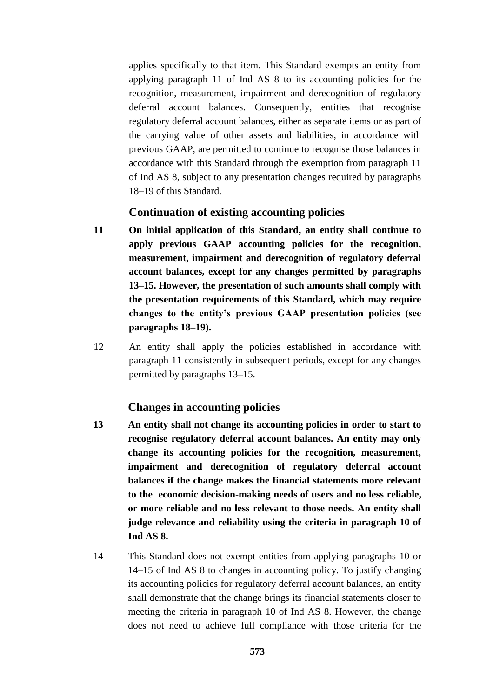applies specifically to that item. This Standard exempts an entity from applying paragraph 11 of Ind AS 8 to its accounting policies for the recognition, measurement, impairment and derecognition of regulatory deferral account balances. Consequently, entities that recognise regulatory deferral account balances, either as separate items or as part of the carrying value of other assets and liabilities, in accordance with previous GAAP, are permitted to continue to recognise those balances in accordance with this Standard through the exemption from paragraph 11 of Ind AS 8, subject to any presentation changes required by paragraphs 18–19 of this Standard.

### **Continuation of existing accounting policies**

- **11 On initial application of this Standard, an entity shall continue to apply previous GAAP accounting policies for the recognition, measurement, impairment and derecognition of regulatory deferral account balances, except for any changes permitted by paragraphs 13–15. However, the presentation of such amounts shall comply with the presentation requirements of this Standard, which may require changes to the entity's previous GAAP presentation policies (see paragraphs 18–19).**
- 12 An entity shall apply the policies established in accordance with paragraph 11 consistently in subsequent periods, except for any changes permitted by paragraphs 13–15.

# **Changes in accounting policies**

- **13 An entity shall not change its accounting policies in order to start to recognise regulatory deferral account balances. An entity may only change its accounting policies for the recognition, measurement, impairment and derecognition of regulatory deferral account balances if the change makes the financial statements more relevant to the economic decision-making needs of users and no less reliable, or more reliable and no less relevant to those needs. An entity shall judge relevance and reliability using the criteria in paragraph 10 of Ind AS 8.**
- 14 This Standard does not exempt entities from applying paragraphs 10 or 14–15 of Ind AS 8 to changes in accounting policy. To justify changing its accounting policies for regulatory deferral account balances, an entity shall demonstrate that the change brings its financial statements closer to meeting the criteria in paragraph 10 of Ind AS 8. However, the change does not need to achieve full compliance with those criteria for the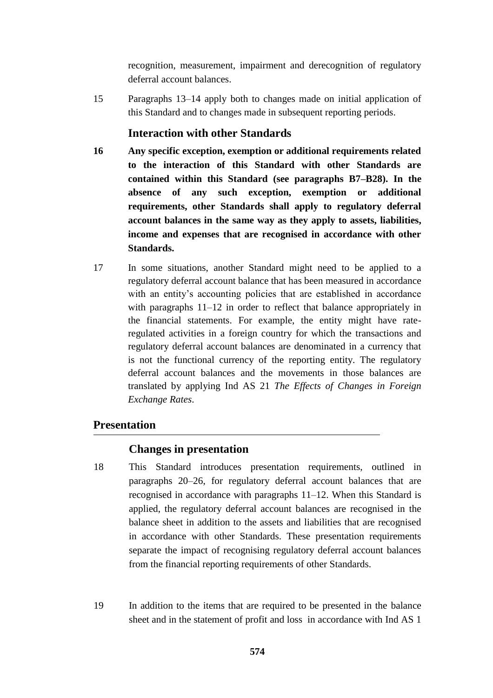recognition, measurement, impairment and derecognition of regulatory deferral account balances.

15 Paragraphs 13–14 apply both to changes made on initial application of this Standard and to changes made in subsequent reporting periods.

# **Interaction with other Standards**

- **16 Any specific exception, exemption or additional requirements related to the interaction of this Standard with other Standards are contained within this Standard (see paragraphs B7–B28). In the absence of any such exception, exemption or additional requirements, other Standards shall apply to regulatory deferral account balances in the same way as they apply to assets, liabilities, income and expenses that are recognised in accordance with other Standards.**
- 17 In some situations, another Standard might need to be applied to a regulatory deferral account balance that has been measured in accordance with an entity's accounting policies that are established in accordance with paragraphs  $11-12$  in order to reflect that balance appropriately in the financial statements. For example, the entity might have rateregulated activities in a foreign country for which the transactions and regulatory deferral account balances are denominated in a currency that is not the functional currency of the reporting entity. The regulatory deferral account balances and the movements in those balances are translated by applying Ind AS 21 *The Effects of Changes in Foreign Exchange Rates*.

### **Presentation**

# **Changes in presentation**

- 18 This Standard introduces presentation requirements, outlined in paragraphs 20–26, for regulatory deferral account balances that are recognised in accordance with paragraphs 11–12. When this Standard is applied, the regulatory deferral account balances are recognised in the balance sheet in addition to the assets and liabilities that are recognised in accordance with other Standards. These presentation requirements separate the impact of recognising regulatory deferral account balances from the financial reporting requirements of other Standards.
- 19 In addition to the items that are required to be presented in the balance sheet and in the statement of profit and loss in accordance with Ind AS 1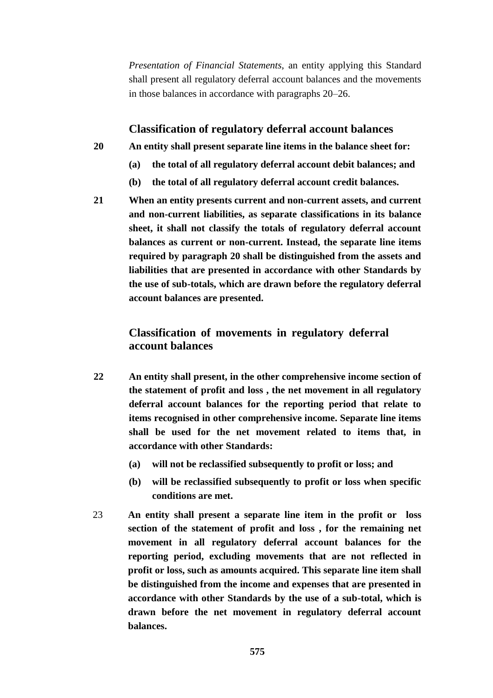*Presentation of Financial Statements*, an entity applying this Standard shall present all regulatory deferral account balances and the movements in those balances in accordance with paragraphs 20–26.

### **Classification of regulatory deferral account balances**

- **20 An entity shall present separate line items in the balance sheet for:** 
	- **(a) the total of all regulatory deferral account debit balances; and**
	- **(b) the total of all regulatory deferral account credit balances.**
- **21 When an entity presents current and non-current assets, and current and non-current liabilities, as separate classifications in its balance sheet, it shall not classify the totals of regulatory deferral account balances as current or non-current. Instead, the separate line items required by paragraph 20 shall be distinguished from the assets and liabilities that are presented in accordance with other Standards by the use of sub-totals, which are drawn before the regulatory deferral account balances are presented.**

# **Classification of movements in regulatory deferral account balances**

- **22 An entity shall present, in the other comprehensive income section of the statement of profit and loss , the net movement in all regulatory deferral account balances for the reporting period that relate to items recognised in other comprehensive income. Separate line items shall be used for the net movement related to items that, in accordance with other Standards:** 
	- **(a) will not be reclassified subsequently to profit or loss; and**
	- **(b) will be reclassified subsequently to profit or loss when specific conditions are met.**
- 23 **An entity shall present a separate line item in the profit or loss section of the statement of profit and loss , for the remaining net movement in all regulatory deferral account balances for the reporting period, excluding movements that are not reflected in profit or loss, such as amounts acquired. This separate line item shall be distinguished from the income and expenses that are presented in accordance with other Standards by the use of a sub-total, which is drawn before the net movement in regulatory deferral account balances.**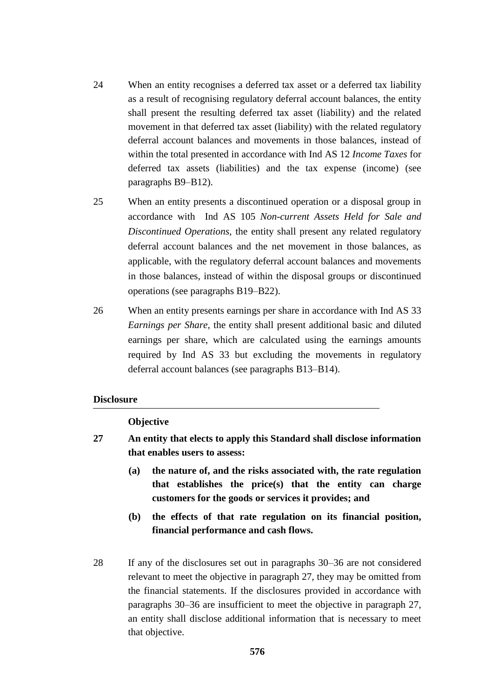- 24 When an entity recognises a deferred tax asset or a deferred tax liability as a result of recognising regulatory deferral account balances, the entity shall present the resulting deferred tax asset (liability) and the related movement in that deferred tax asset (liability) with the related regulatory deferral account balances and movements in those balances, instead of within the total presented in accordance with Ind AS 12 *Income Taxes* for deferred tax assets (liabilities) and the tax expense (income) (see paragraphs B9–B12).
- 25 When an entity presents a discontinued operation or a disposal group in accordance with Ind AS 105 *Non-current Assets Held for Sale and Discontinued Operations*, the entity shall present any related regulatory deferral account balances and the net movement in those balances, as applicable, with the regulatory deferral account balances and movements in those balances, instead of within the disposal groups or discontinued operations (see paragraphs B19–B22).
- 26 When an entity presents earnings per share in accordance with Ind AS 33 *Earnings per Share*, the entity shall present additional basic and diluted earnings per share, which are calculated using the earnings amounts required by Ind AS 33 but excluding the movements in regulatory deferral account balances (see paragraphs B13–B14).

### **Disclosure**

#### **Objective**

- **27 An entity that elects to apply this Standard shall disclose information that enables users to assess:** 
	- **(a) the nature of, and the risks associated with, the rate regulation that establishes the price(s) that the entity can charge customers for the goods or services it provides; and**
	- **(b) the effects of that rate regulation on its financial position, financial performance and cash flows.**
- 28 If any of the disclosures set out in paragraphs 30–36 are not considered relevant to meet the objective in paragraph 27, they may be omitted from the financial statements. If the disclosures provided in accordance with paragraphs 30–36 are insufficient to meet the objective in paragraph 27, an entity shall disclose additional information that is necessary to meet that objective.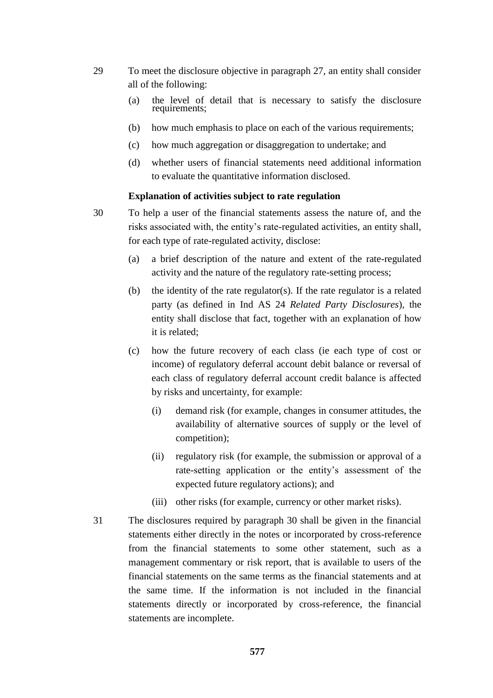- 29 To meet the disclosure objective in paragraph 27, an entity shall consider all of the following:
	- (a) the level of detail that is necessary to satisfy the disclosure requirements;
	- (b) how much emphasis to place on each of the various requirements;
	- (c) how much aggregation or disaggregation to undertake; and
	- (d) whether users of financial statements need additional information to evaluate the quantitative information disclosed.

#### **Explanation of activities subject to rate regulation**

- 30 To help a user of the financial statements assess the nature of, and the risks associated with, the entity's rate-regulated activities, an entity shall, for each type of rate-regulated activity, disclose:
	- (a) a brief description of the nature and extent of the rate-regulated activity and the nature of the regulatory rate-setting process;
	- (b) the identity of the rate regulator(s). If the rate regulator is a related party (as defined in Ind AS 24 *Related Party Disclosures*), the entity shall disclose that fact, together with an explanation of how it is related;
	- (c) how the future recovery of each class (ie each type of cost or income) of regulatory deferral account debit balance or reversal of each class of regulatory deferral account credit balance is affected by risks and uncertainty, for example:
		- (i) demand risk (for example, changes in consumer attitudes, the availability of alternative sources of supply or the level of competition);
		- (ii) regulatory risk (for example, the submission or approval of a rate-setting application or the entity's assessment of the expected future regulatory actions); and
		- (iii) other risks (for example, currency or other market risks).
- 31 The disclosures required by paragraph 30 shall be given in the financial statements either directly in the notes or incorporated by cross-reference from the financial statements to some other statement, such as a management commentary or risk report, that is available to users of the financial statements on the same terms as the financial statements and at the same time. If the information is not included in the financial statements directly or incorporated by cross-reference, the financial statements are incomplete.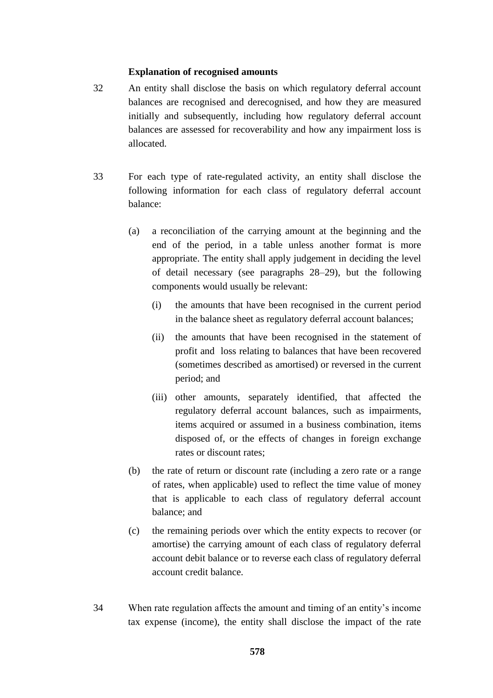#### **Explanation of recognised amounts**

- 32 An entity shall disclose the basis on which regulatory deferral account balances are recognised and derecognised, and how they are measured initially and subsequently, including how regulatory deferral account balances are assessed for recoverability and how any impairment loss is allocated.
- 33 For each type of rate-regulated activity, an entity shall disclose the following information for each class of regulatory deferral account balance:
	- (a) a reconciliation of the carrying amount at the beginning and the end of the period, in a table unless another format is more appropriate. The entity shall apply judgement in deciding the level of detail necessary (see paragraphs 28–29), but the following components would usually be relevant:
		- (i) the amounts that have been recognised in the current period in the balance sheet as regulatory deferral account balances;
		- (ii) the amounts that have been recognised in the statement of profit and loss relating to balances that have been recovered (sometimes described as amortised) or reversed in the current period; and
		- (iii) other amounts, separately identified, that affected the regulatory deferral account balances, such as impairments, items acquired or assumed in a business combination, items disposed of, or the effects of changes in foreign exchange rates or discount rates;
	- (b) the rate of return or discount rate (including a zero rate or a range of rates, when applicable) used to reflect the time value of money that is applicable to each class of regulatory deferral account balance; and
	- (c) the remaining periods over which the entity expects to recover (or amortise) the carrying amount of each class of regulatory deferral account debit balance or to reverse each class of regulatory deferral account credit balance.
- 34 When rate regulation affects the amount and timing of an entity's income tax expense (income), the entity shall disclose the impact of the rate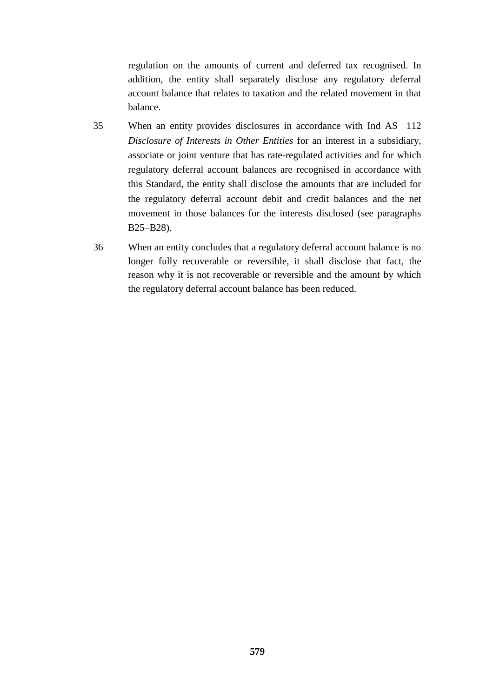regulation on the amounts of current and deferred tax recognised. In addition, the entity shall separately disclose any regulatory deferral account balance that relates to taxation and the related movement in that balance.

- 35 When an entity provides disclosures in accordance with Ind AS 112 *Disclosure of Interests in Other Entities* for an interest in a subsidiary, associate or joint venture that has rate-regulated activities and for which regulatory deferral account balances are recognised in accordance with this Standard, the entity shall disclose the amounts that are included for the regulatory deferral account debit and credit balances and the net movement in those balances for the interests disclosed (see paragraphs B25–B28).
- 36 When an entity concludes that a regulatory deferral account balance is no longer fully recoverable or reversible, it shall disclose that fact, the reason why it is not recoverable or reversible and the amount by which the regulatory deferral account balance has been reduced.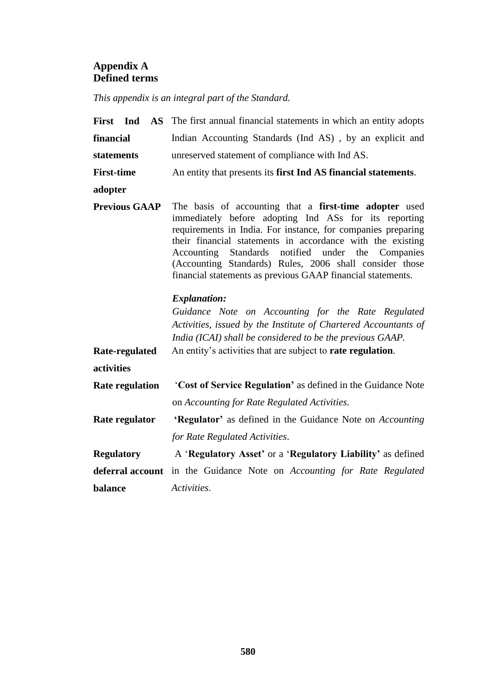# **Appendix A Defined terms**

*This appendix is an integral part of the Standard.*

|                   |  | First Ind AS The first annual financial statements in which an entity adopts |
|-------------------|--|------------------------------------------------------------------------------|
| financial         |  | Indian Accounting Standards (Ind AS), by an explicit and                     |
| statements        |  | unreserved statement of compliance with Ind AS.                              |
| <b>First-time</b> |  | An entity that presents its first Ind AS financial statements.               |
| adopter           |  |                                                                              |

**Previous GAAP** The basis of accounting that a **first-time adopter** used immediately before adopting Ind ASs for its reporting requirements in India. For instance, for companies preparing their financial statements in accordance with the existing Accounting Standards notified under the Companies (Accounting Standards) Rules, 2006 shall consider those financial statements as previous GAAP financial statements.

### *Explanation:*

*Guidance Note on Accounting for the Rate Regulated Activities, issued by the Institute of Chartered Accountants of India (ICAI) shall be considered to be the previous GAAP.*  **Rate-regulated activities** An entity's activities that are subject to **rate regulation**. **Rate regulation** '**Cost of Service Regulation'** as defined in the Guidance Note on *Accounting for Rate Regulated Activities*. **Rate regulator 'Regulator'** as defined in the Guidance Note on *Accounting for Rate Regulated Activities*. **Regulatory deferral account**  in the Guidance Note on *Accounting for Rate Regulated*  **balance** A '**Regulatory Asset'** or a '**Regulatory Liability'** as defined *Activities*.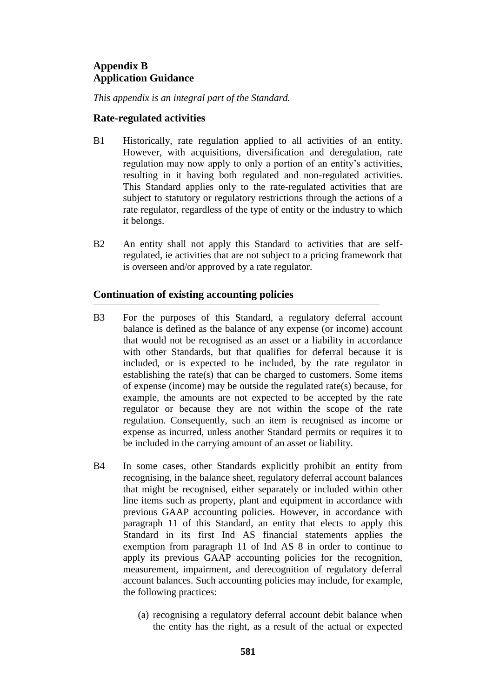# **Appendix B Application Guidance**

*This appendix is an integral part of the Standard.*

### **Rate-regulated activities**

- B1 Historically, rate regulation applied to all activities of an entity. However, with acquisitions, diversification and deregulation, rate regulation may now apply to only a portion of an entity's activities, resulting in it having both regulated and non-regulated activities. This Standard applies only to the rate-regulated activities that are subject to statutory or regulatory restrictions through the actions of a rate regulator, regardless of the type of entity or the industry to which it belongs.
- B2 An entity shall not apply this Standard to activities that are selfregulated, ie activities that are not subject to a pricing framework that is overseen and/or approved by a rate regulator.

### **Continuation of existing accounting policies**

- B3 For the purposes of this Standard, a regulatory deferral account balance is defined as the balance of any expense (or income) account that would not be recognised as an asset or a liability in accordance with other Standards, but that qualifies for deferral because it is included, or is expected to be included, by the rate regulator in establishing the rate(s) that can be charged to customers. Some items of expense (income) may be outside the regulated rate(s) because, for example, the amounts are not expected to be accepted by the rate regulator or because they are not within the scope of the rate regulation. Consequently, such an item is recognised as income or expense as incurred, unless another Standard permits or requires it to be included in the carrying amount of an asset or liability.
- B4 In some cases, other Standards explicitly prohibit an entity from recognising, in the balance sheet, regulatory deferral account balances that might be recognised, either separately or included within other line items such as property, plant and equipment in accordance with previous GAAP accounting policies. However, in accordance with paragraph 11 of this Standard, an entity that elects to apply this Standard in its first Ind AS financial statements applies the exemption from paragraph 11 of Ind AS 8 in order to continue to apply its previous GAAP accounting policies for the recognition, measurement, impairment, and derecognition of regulatory deferral account balances. Such accounting policies may include, for example, the following practices:
	- (a) recognising a regulatory deferral account debit balance when the entity has the right, as a result of the actual or expected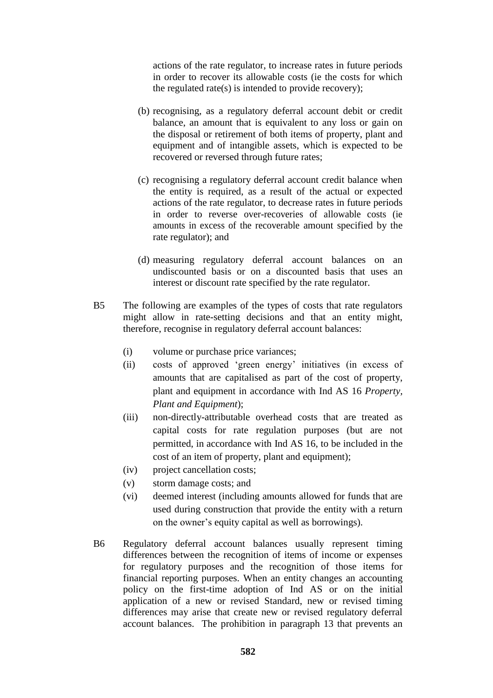actions of the rate regulator, to increase rates in future periods in order to recover its allowable costs (ie the costs for which the regulated rate(s) is intended to provide recovery);

- (b) recognising, as a regulatory deferral account debit or credit balance, an amount that is equivalent to any loss or gain on the disposal or retirement of both items of property, plant and equipment and of intangible assets, which is expected to be recovered or reversed through future rates;
- (c) recognising a regulatory deferral account credit balance when the entity is required, as a result of the actual or expected actions of the rate regulator, to decrease rates in future periods in order to reverse over-recoveries of allowable costs (ie amounts in excess of the recoverable amount specified by the rate regulator); and
- (d) measuring regulatory deferral account balances on an undiscounted basis or on a discounted basis that uses an interest or discount rate specified by the rate regulator.
- B5 The following are examples of the types of costs that rate regulators might allow in rate-setting decisions and that an entity might, therefore, recognise in regulatory deferral account balances:
	- (i) volume or purchase price variances;
	- (ii) costs of approved 'green energy' initiatives (in excess of amounts that are capitalised as part of the cost of property, plant and equipment in accordance with Ind AS 16 *Property, Plant and Equipment*);
	- (iii) non-directly-attributable overhead costs that are treated as capital costs for rate regulation purposes (but are not permitted, in accordance with Ind AS 16, to be included in the cost of an item of property, plant and equipment);
	- (iv) project cancellation costs;
	- (v) storm damage costs; and
	- (vi) deemed interest (including amounts allowed for funds that are used during construction that provide the entity with a return on the owner's equity capital as well as borrowings).
- B6 Regulatory deferral account balances usually represent timing differences between the recognition of items of income or expenses for regulatory purposes and the recognition of those items for financial reporting purposes. When an entity changes an accounting policy on the first-time adoption of Ind AS or on the initial application of a new or revised Standard, new or revised timing differences may arise that create new or revised regulatory deferral account balances. The prohibition in paragraph 13 that prevents an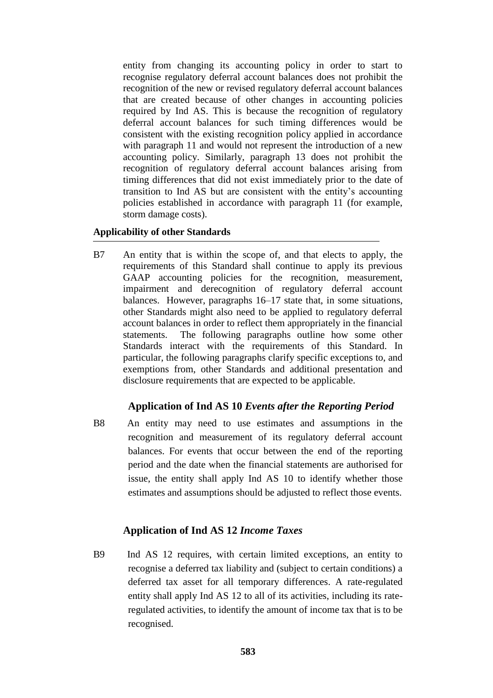entity from changing its accounting policy in order to start to recognise regulatory deferral account balances does not prohibit the recognition of the new or revised regulatory deferral account balances that are created because of other changes in accounting policies required by Ind AS. This is because the recognition of regulatory deferral account balances for such timing differences would be consistent with the existing recognition policy applied in accordance with paragraph 11 and would not represent the introduction of a new accounting policy. Similarly, paragraph 13 does not prohibit the recognition of regulatory deferral account balances arising from timing differences that did not exist immediately prior to the date of transition to Ind AS but are consistent with the entity's accounting policies established in accordance with paragraph 11 (for example, storm damage costs).

### **Applicability of other Standards**

B7 An entity that is within the scope of, and that elects to apply, the requirements of this Standard shall continue to apply its previous GAAP accounting policies for the recognition, measurement, impairment and derecognition of regulatory deferral account balances. However, paragraphs 16–17 state that, in some situations, other Standards might also need to be applied to regulatory deferral account balances in order to reflect them appropriately in the financial statements. The following paragraphs outline how some other Standards interact with the requirements of this Standard. In particular, the following paragraphs clarify specific exceptions to, and exemptions from, other Standards and additional presentation and disclosure requirements that are expected to be applicable.

### **Application of Ind AS 10** *Events after the Reporting Period*

B8 An entity may need to use estimates and assumptions in the recognition and measurement of its regulatory deferral account balances. For events that occur between the end of the reporting period and the date when the financial statements are authorised for issue, the entity shall apply Ind AS 10 to identify whether those estimates and assumptions should be adjusted to reflect those events.

### **Application of Ind AS 12** *Income Taxes*

B9 Ind AS 12 requires, with certain limited exceptions, an entity to recognise a deferred tax liability and (subject to certain conditions) a deferred tax asset for all temporary differences. A rate-regulated entity shall apply Ind AS 12 to all of its activities, including its rateregulated activities, to identify the amount of income tax that is to be recognised.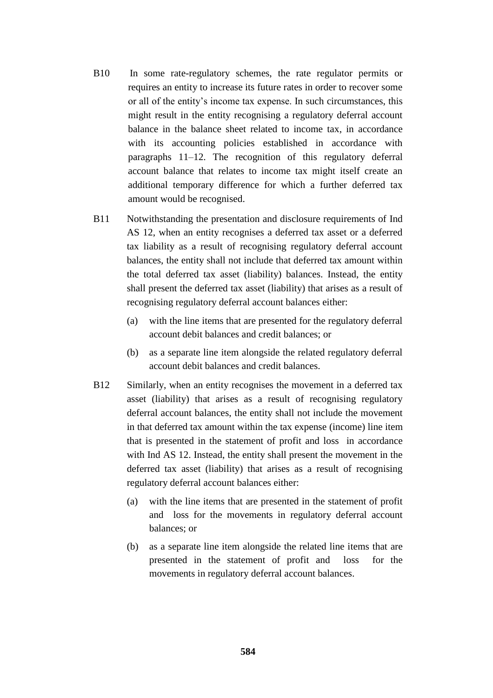- B10 In some rate-regulatory schemes, the rate regulator permits or requires an entity to increase its future rates in order to recover some or all of the entity's income tax expense. In such circumstances, this might result in the entity recognising a regulatory deferral account balance in the balance sheet related to income tax, in accordance with its accounting policies established in accordance with paragraphs 11–12. The recognition of this regulatory deferral account balance that relates to income tax might itself create an additional temporary difference for which a further deferred tax amount would be recognised.
- B11 Notwithstanding the presentation and disclosure requirements of Ind AS 12, when an entity recognises a deferred tax asset or a deferred tax liability as a result of recognising regulatory deferral account balances, the entity shall not include that deferred tax amount within the total deferred tax asset (liability) balances. Instead, the entity shall present the deferred tax asset (liability) that arises as a result of recognising regulatory deferral account balances either:
	- (a) with the line items that are presented for the regulatory deferral account debit balances and credit balances; or
	- (b) as a separate line item alongside the related regulatory deferral account debit balances and credit balances.
- B12 Similarly, when an entity recognises the movement in a deferred tax asset (liability) that arises as a result of recognising regulatory deferral account balances, the entity shall not include the movement in that deferred tax amount within the tax expense (income) line item that is presented in the statement of profit and loss in accordance with Ind AS 12. Instead, the entity shall present the movement in the deferred tax asset (liability) that arises as a result of recognising regulatory deferral account balances either:
	- (a) with the line items that are presented in the statement of profit and loss for the movements in regulatory deferral account balances; or
	- (b) as a separate line item alongside the related line items that are presented in the statement of profit and loss for the movements in regulatory deferral account balances.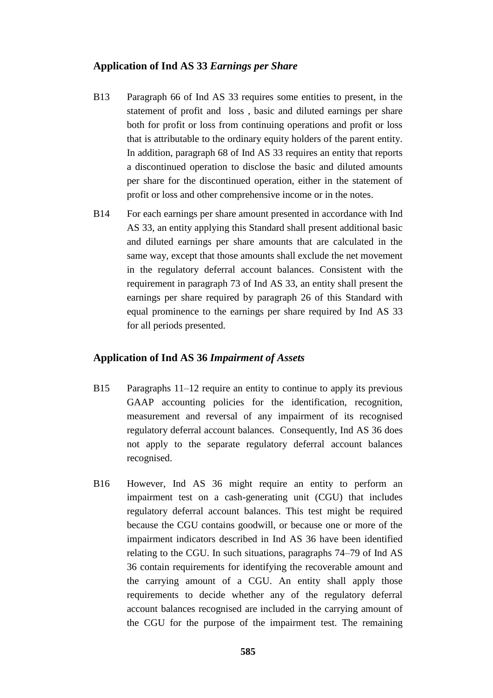### **Application of Ind AS 33** *Earnings per Share*

- B13 Paragraph 66 of Ind AS 33 requires some entities to present, in the statement of profit and loss , basic and diluted earnings per share both for profit or loss from continuing operations and profit or loss that is attributable to the ordinary equity holders of the parent entity. In addition, paragraph 68 of Ind AS 33 requires an entity that reports a discontinued operation to disclose the basic and diluted amounts per share for the discontinued operation, either in the statement of profit or loss and other comprehensive income or in the notes.
- B14 For each earnings per share amount presented in accordance with Ind AS 33, an entity applying this Standard shall present additional basic and diluted earnings per share amounts that are calculated in the same way, except that those amounts shall exclude the net movement in the regulatory deferral account balances. Consistent with the requirement in paragraph 73 of Ind AS 33, an entity shall present the earnings per share required by paragraph 26 of this Standard with equal prominence to the earnings per share required by Ind AS 33 for all periods presented.

### **Application of Ind AS 36** *Impairment of Assets*

- B15 Paragraphs 11–12 require an entity to continue to apply its previous GAAP accounting policies for the identification, recognition, measurement and reversal of any impairment of its recognised regulatory deferral account balances. Consequently, Ind AS 36 does not apply to the separate regulatory deferral account balances recognised.
- B16 However, Ind AS 36 might require an entity to perform an impairment test on a cash-generating unit (CGU) that includes regulatory deferral account balances. This test might be required because the CGU contains goodwill, or because one or more of the impairment indicators described in Ind AS 36 have been identified relating to the CGU. In such situations, paragraphs 74–79 of Ind AS 36 contain requirements for identifying the recoverable amount and the carrying amount of a CGU. An entity shall apply those requirements to decide whether any of the regulatory deferral account balances recognised are included in the carrying amount of the CGU for the purpose of the impairment test. The remaining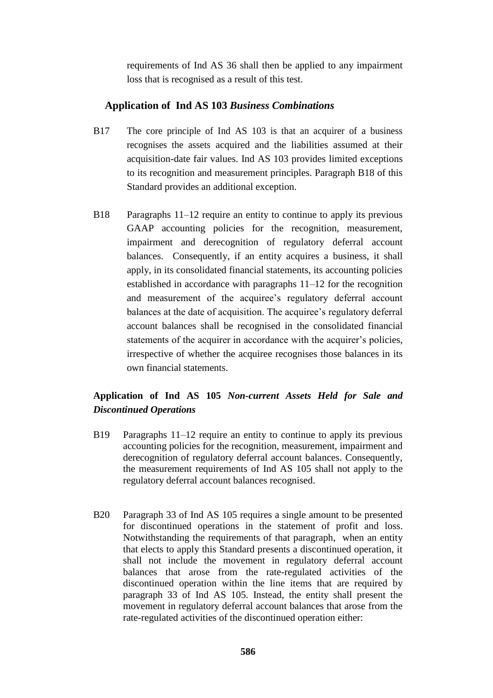requirements of Ind AS 36 shall then be applied to any impairment loss that is recognised as a result of this test.

### **Application of Ind AS 103** *Business Combinations*

- B17 The core principle of Ind AS 103 is that an acquirer of a business recognises the assets acquired and the liabilities assumed at their acquisition-date fair values. Ind AS 103 provides limited exceptions to its recognition and measurement principles. Paragraph B18 of this Standard provides an additional exception.
- B18 Paragraphs 11–12 require an entity to continue to apply its previous GAAP accounting policies for the recognition, measurement, impairment and derecognition of regulatory deferral account balances. Consequently, if an entity acquires a business, it shall apply, in its consolidated financial statements, its accounting policies established in accordance with paragraphs 11–12 for the recognition and measurement of the acquiree's regulatory deferral account balances at the date of acquisition. The acquiree's regulatory deferral account balances shall be recognised in the consolidated financial statements of the acquirer in accordance with the acquirer's policies, irrespective of whether the acquiree recognises those balances in its own financial statements.

# **Application of Ind AS 105** *Non-current Assets Held for Sale and Discontinued Operations*

- B19 Paragraphs 11–12 require an entity to continue to apply its previous accounting policies for the recognition, measurement, impairment and derecognition of regulatory deferral account balances. Consequently, the measurement requirements of Ind AS 105 shall not apply to the regulatory deferral account balances recognised.
- B20 Paragraph 33 of Ind AS 105 requires a single amount to be presented for discontinued operations in the statement of profit and loss. Notwithstanding the requirements of that paragraph, when an entity that elects to apply this Standard presents a discontinued operation, it shall not include the movement in regulatory deferral account balances that arose from the rate-regulated activities of the discontinued operation within the line items that are required by paragraph 33 of Ind AS 105. Instead, the entity shall present the movement in regulatory deferral account balances that arose from the rate-regulated activities of the discontinued operation either: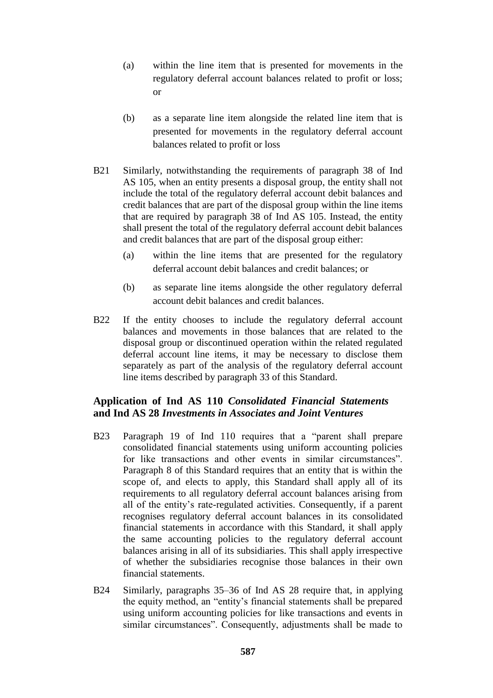- (a) within the line item that is presented for movements in the regulatory deferral account balances related to profit or loss; or
- (b) as a separate line item alongside the related line item that is presented for movements in the regulatory deferral account balances related to profit or loss
- B21 Similarly, notwithstanding the requirements of paragraph 38 of Ind AS 105, when an entity presents a disposal group, the entity shall not include the total of the regulatory deferral account debit balances and credit balances that are part of the disposal group within the line items that are required by paragraph 38 of Ind AS 105. Instead, the entity shall present the total of the regulatory deferral account debit balances and credit balances that are part of the disposal group either:
	- (a) within the line items that are presented for the regulatory deferral account debit balances and credit balances; or
	- (b) as separate line items alongside the other regulatory deferral account debit balances and credit balances.
- B22 If the entity chooses to include the regulatory deferral account balances and movements in those balances that are related to the disposal group or discontinued operation within the related regulated deferral account line items, it may be necessary to disclose them separately as part of the analysis of the regulatory deferral account line items described by paragraph 33 of this Standard.

### **Application of Ind AS 110** *Consolidated Financial Statements*  **and Ind AS 28** *Investments in Associates and Joint Ventures*

- B23 Paragraph 19 of Ind 110 requires that a "parent shall prepare consolidated financial statements using uniform accounting policies for like transactions and other events in similar circumstances". Paragraph 8 of this Standard requires that an entity that is within the scope of, and elects to apply, this Standard shall apply all of its requirements to all regulatory deferral account balances arising from all of the entity's rate-regulated activities. Consequently, if a parent recognises regulatory deferral account balances in its consolidated financial statements in accordance with this Standard, it shall apply the same accounting policies to the regulatory deferral account balances arising in all of its subsidiaries. This shall apply irrespective of whether the subsidiaries recognise those balances in their own financial statements.
- B24 Similarly, paragraphs 35–36 of Ind AS 28 require that, in applying the equity method, an "entity's financial statements shall be prepared using uniform accounting policies for like transactions and events in similar circumstances". Consequently, adjustments shall be made to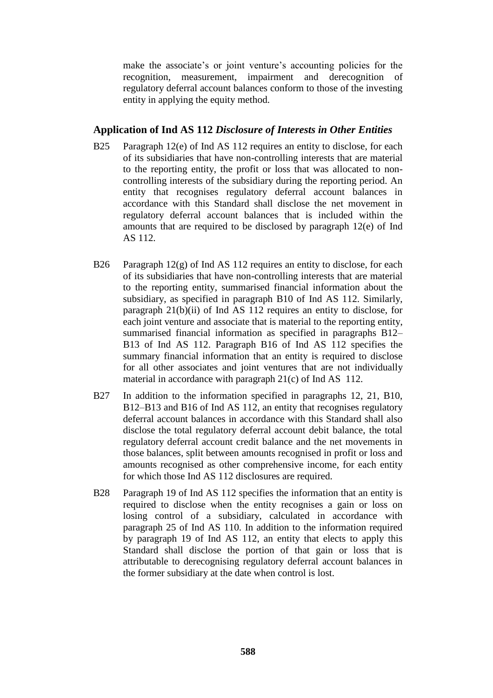make the associate's or joint venture's accounting policies for the recognition, measurement, impairment and derecognition of regulatory deferral account balances conform to those of the investing entity in applying the equity method.

### **Application of Ind AS 112** *Disclosure of Interests in Other Entities*

- B25 Paragraph 12(e) of Ind AS 112 requires an entity to disclose, for each of its subsidiaries that have non-controlling interests that are material to the reporting entity, the profit or loss that was allocated to noncontrolling interests of the subsidiary during the reporting period. An entity that recognises regulatory deferral account balances in accordance with this Standard shall disclose the net movement in regulatory deferral account balances that is included within the amounts that are required to be disclosed by paragraph 12(e) of Ind AS 112.
- B26 Paragraph  $12(g)$  of Ind AS 112 requires an entity to disclose, for each of its subsidiaries that have non-controlling interests that are material to the reporting entity, summarised financial information about the subsidiary, as specified in paragraph B10 of Ind AS 112. Similarly, paragraph 21(b)(ii) of Ind AS 112 requires an entity to disclose, for each joint venture and associate that is material to the reporting entity, summarised financial information as specified in paragraphs B12– B13 of Ind AS 112. Paragraph B16 of Ind AS 112 specifies the summary financial information that an entity is required to disclose for all other associates and joint ventures that are not individually material in accordance with paragraph 21(c) of Ind AS 112.
- B27 In addition to the information specified in paragraphs 12, 21, B10, B12–B13 and B16 of Ind AS 112, an entity that recognises regulatory deferral account balances in accordance with this Standard shall also disclose the total regulatory deferral account debit balance, the total regulatory deferral account credit balance and the net movements in those balances, split between amounts recognised in profit or loss and amounts recognised as other comprehensive income, for each entity for which those Ind AS 112 disclosures are required.
- B28 Paragraph 19 of Ind AS 112 specifies the information that an entity is required to disclose when the entity recognises a gain or loss on losing control of a subsidiary, calculated in accordance with paragraph 25 of Ind AS 110. In addition to the information required by paragraph 19 of Ind AS 112, an entity that elects to apply this Standard shall disclose the portion of that gain or loss that is attributable to derecognising regulatory deferral account balances in the former subsidiary at the date when control is lost.